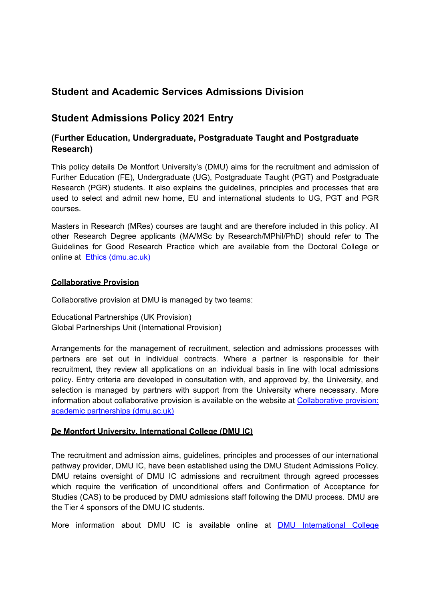## **Student and Academic Services Admissions Division**

## **Student Admissions Policy 2021 Entry**

### **(Further Education, Undergraduate, Postgraduate Taught and Postgraduate Research)**

This policy details De Montfort University's (DMU) aims for the recruitment and admission of Further Education (FE), Undergraduate (UG), Postgraduate Taught (PGT) and Postgraduate Research (PGR) students. It also explains the guidelines, principles and processes that are used to select and admit new home, EU and international students to UG, PGT and PGR courses.

Masters in Research (MRes) courses are taught and are therefore included in this policy. All other Research Degree applicants (MA/MSc by Research/MPhil/PhD) should refer to The Guidelines for Good Research Practice which are available from the Doctoral College or online at [Ethics \(dmu.ac.uk\)](https://www.dmu.ac.uk/Research/Ethics-and-governance/Research-integrity-and-ethics.aspx)

#### **Collaborative Provision**

Collaborative provision at DMU is managed by two teams:

Educational Partnerships (UK Provision) Global Partnerships Unit (International Provision)

Arrangements for the management of recruitment, selection and admissions processes with partners are set out in individual contracts. Where a partner is responsible for their recruitment, they review all applications on an individual basis in line with local admissions policy. Entry criteria are developed in consultation with, and approved by, the University, and selection is managed by partners with support from the University where necessary. More information about collaborative provision is available on the website at Collaborative provision: [academic partnerships \(dmu.ac.uk\)](https://www.dmu.ac.uk/about-dmu/quality-management-and-policy/academic-quality/collaborative-provision/collaborative-provision-academic-partnerships-homepage.aspx)

### **De Montfort University, International College (DMU IC)**

The recruitment and admission aims, guidelines, principles and processes of our international pathway provider, DMU IC, have been established using the DMU Student Admissions Policy. DMU retains oversight of DMU IC admissions and recruitment through agreed processes which require the verification of unconditional offers and Confirmation of Acceptance for Studies (CAS) to be produced by DMU admissions staff following the DMU process. DMU are the Tier 4 sponsors of the DMU IC students.

More information about DMU IC is available online at [DMU International College](https://www.dmu.ac.uk/dmu-international-college/index.aspx)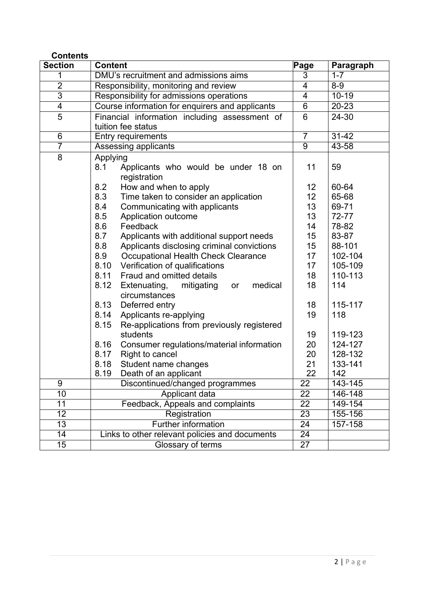| <b>Contents</b> |                                                                                   |                          |             |
|-----------------|-----------------------------------------------------------------------------------|--------------------------|-------------|
| <b>Section</b>  | <b>Content</b>                                                                    | Page                     | Paragraph   |
| 1               | DMU's recruitment and admissions aims                                             | 3                        | $1 - 7$     |
| $\overline{2}$  | Responsibility, monitoring and review                                             | $\overline{\mathcal{A}}$ | $8-9$       |
| $\overline{3}$  | Responsibility for admissions operations                                          |                          | $10 - 19$   |
| $\overline{4}$  | Course information for enquirers and applicants<br>$\overline{6}$                 |                          | 20-23       |
| 5               | Financial information including assessment of<br>6<br>24-30<br>tuition fee status |                          |             |
| 6               | Entry requirements                                                                | $\overline{7}$           | $31 - 42$   |
| $\overline{7}$  | Assessing applicants                                                              | $\overline{9}$           | $43 - 58$   |
| 8               | Applying<br>8.1<br>Applicants who would be under 18 on<br>registration            | 11                       | 59          |
|                 | 8.2<br>How and when to apply                                                      | 12 <sub>2</sub>          | 60-64       |
|                 | 8.3<br>Time taken to consider an application                                      | 12                       | 65-68       |
|                 | 8.4<br>Communicating with applicants                                              | 13                       | 69-71       |
|                 | 8.5<br>Application outcome                                                        | 13                       | 72-77       |
|                 | 8.6<br>Feedback                                                                   | 14                       | 78-82       |
|                 | 8.7<br>Applicants with additional support needs                                   | 15                       | 83-87       |
|                 | 8.8<br>Applicants disclosing criminal convictions                                 | 15                       | 88-101      |
|                 | 8.9<br>Occupational Health Check Clearance                                        | 17                       | 102-104     |
|                 | 8.10<br>Verification of qualifications                                            | 17                       | 105-109     |
|                 | 8.11<br>Fraud and omitted details                                                 | 18                       | 110-113     |
|                 | 8.12<br>Extenuating,<br>mitigating<br>medical<br>or<br>circumstances              | 18                       | 114         |
|                 | 8.13<br>Deferred entry                                                            | 18                       | 115-117     |
|                 | Applicants re-applying<br>8.14                                                    | 19                       | 118         |
|                 | 8.15<br>Re-applications from previously registered                                |                          |             |
|                 | students                                                                          | 19                       | 119-123     |
|                 | 8.16<br>Consumer regulations/material information                                 | 20                       | 124-127     |
|                 | 8.17<br>Right to cancel                                                           | 20                       | 128-132     |
|                 | 8.18<br>Student name changes                                                      | 21                       | 133-141     |
|                 | 8.19<br>Death of an applicant                                                     | 22                       | 142         |
| 9               | Discontinued/changed programmes                                                   | $\overline{22}$          | $143 - 145$ |
| 10              | Applicant data                                                                    | 22                       | 146-148     |
| 11              | Feedback, Appeals and complaints                                                  | $\overline{22}$          | 149-154     |
| 12              | Registration                                                                      | 23                       | 155-156     |
| $\overline{13}$ | <b>Further information</b>                                                        | 24<br>24                 | 157-158     |
| 14              | Links to other relevant policies and documents                                    |                          |             |
| $\overline{15}$ | Glossary of terms                                                                 | $\overline{27}$          |             |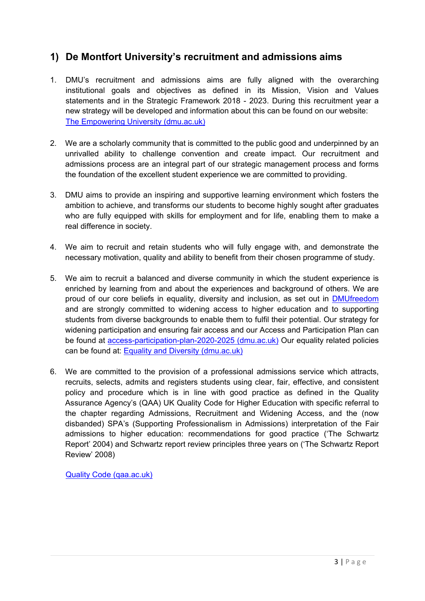## **1) De Montfort University's recruitment and admissions aims**

- 1. DMU's recruitment and admissions aims are fully aligned with the overarching institutional goals and objectives as defined in its Mission, Vision and Values statements and in the Strategic Framework 2018 - 2023. During this recruitment year a new strategy will be developed and information about this can be found on our website: [The Empowering University \(dmu.ac.uk\)](https://www.dmu.ac.uk/shape-our-future/the-empowering-university.aspx)
- 2. We are a scholarly community that is committed to the public good and underpinned by an unrivalled ability to challenge convention and create impact. Our recruitment and admissions process are an integral part of our strategic management process and forms the foundation of the excellent student experience we are committed to providing.
- 3. DMU aims to provide an inspiring and supportive learning environment which fosters the ambition to achieve, and transforms our students to become highly sought after graduates who are fully equipped with skills for employment and for life, enabling them to make a real difference in society.
- 4. We aim to recruit and retain students who will fully engage with, and demonstrate the necessary motivation, quality and ability to benefit from their chosen programme of study.
- 5. We aim to recruit a balanced and diverse community in which the student experience is enriched by learning from and about the experiences and background of others. We are proud of our core beliefs in equality, diversity and inclusion, as set out in **[DMUfreedom](https://www.dmu.ac.uk/about-dmu/professional-services/equality-and-diversity/dmufreedom-equality-and-diversity-charter/dmufreedom.aspx)** and are strongly committed to widening access to higher education and to supporting students from diverse backgrounds to enable them to fulfil their potential. Our strategy for widening participation and ensuring fair access and our Access and Participation Plan can be found at [access-participation-plan-2020-2025 \(dmu.ac.uk\)](https://www.dmu.ac.uk/documents/university-governance/access-participation-plan-2020-2025.pdf) Our equality related policies can be found at: [Equality and Diversity \(dmu.ac.uk\)](https://www.dmu.ac.uk/about-dmu/professional-services/equality-and-diversity/equality-and-diversity.aspx)
- 6. We are committed to the provision of a professional admissions service which attracts, recruits, selects, admits and registers students using clear, fair, effective, and consistent policy and procedure which is in line with good practice as defined in the Quality Assurance Agency's (QAA) UK Quality Code for Higher Education with specific referral to the chapter regarding Admissions, Recruitment and Widening Access, and the (now disbanded) SPA's (Supporting Professionalism in Admissions) interpretation of the Fair admissions to higher education: recommendations for good practice ('The Schwartz Report' 2004) and Schwartz report review principles three years on ('The Schwartz Report Review' 2008)

[Quality Code \(qaa.ac.uk\)](https://www.qaa.ac.uk/quality-code)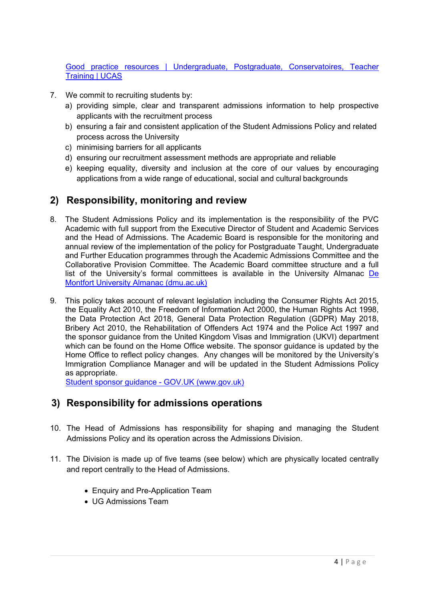[Good practice resources | Undergraduate, Postgraduate, Conservatoires, Teacher](https://www.ucas.com/providers/good-practice)  [Training | UCAS](https://www.ucas.com/providers/good-practice)

- 7. We commit to recruiting students by:
	- a) providing simple, clear and transparent admissions information to help prospective applicants with the recruitment process
	- b) ensuring a fair and consistent application of the Student Admissions Policy and related process across the University
	- c) minimising barriers for all applicants
	- d) ensuring our recruitment assessment methods are appropriate and reliable
	- e) keeping equality, diversity and inclusion at the core of our values by encouraging applications from a wide range of educational, social and cultural backgrounds

### **2) Responsibility, monitoring and review**

- 8. The Student Admissions Policy and its implementation is the responsibility of the PVC Academic with full support from the Executive Director of Student and Academic Services and the Head of Admissions. The Academic Board is responsible for the monitoring and annual review of the implementation of the policy for Postgraduate Taught, Undergraduate and Further Education programmes through the Academic Admissions Committee and the Collaborative Provision Committee. The Academic Board committee structure and a full list of the University's formal committees is available in the University Almanac [De](https://www.dmu.ac.uk/documents/about-dmu-documents/university-governance/de-montfort-university-almanac.pdf)  [Montfort University Almanac \(dmu.ac.uk\)](https://www.dmu.ac.uk/documents/about-dmu-documents/university-governance/de-montfort-university-almanac.pdf)
- 9. This policy takes account of relevant legislation including the Consumer Rights Act 2015, the Equality Act 2010, the Freedom of Information Act 2000, the Human Rights Act 1998, the Data Protection Act 2018, General Data Protection Regulation (GDPR) May 2018, Bribery Act 2010, the Rehabilitation of Offenders Act 1974 and the Police Act 1997 and the sponsor guidance from the United Kingdom Visas and Immigration (UKVI) department which can be found on the Home Office website. The sponsor guidance is updated by the Home Office to reflect policy changes. Any changes will be monitored by the University's Immigration Compliance Manager and will be updated in the Student Admissions Policy as appropriate.

[Student sponsor guidance -](https://www.gov.uk/government/publications/student-sponsor-guidance) GOV.UK (www.gov.uk)

### **3) Responsibility for admissions operations**

- 10. The Head of Admissions has responsibility for shaping and managing the Student Admissions Policy and its operation across the Admissions Division.
- 11. The Division is made up of five teams (see below) which are physically located centrally and report centrally to the Head of Admissions.
	- Enquiry and Pre-Application Team
	- UG Admissions Team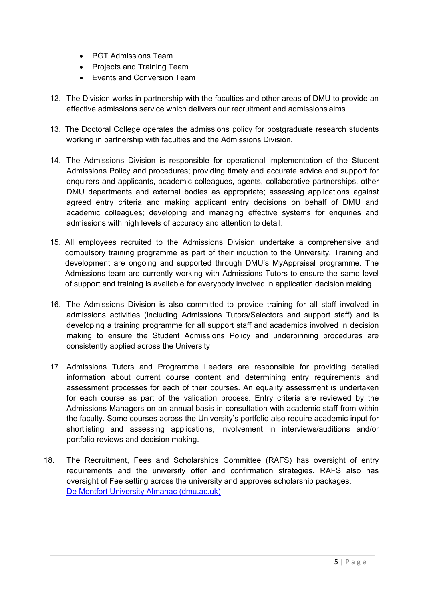- PGT Admissions Team
- Projects and Training Team
- Events and Conversion Team
- 12. The Division works in partnership with the faculties and other areas of DMU to provide an effective admissions service which delivers our recruitment and admissions aims.
- 13. The Doctoral College operates the admissions policy for postgraduate research students working in partnership with faculties and the Admissions Division.
- 14. The Admissions Division is responsible for operational implementation of the Student Admissions Policy and procedures; providing timely and accurate advice and support for enquirers and applicants, academic colleagues, agents, collaborative partnerships, other DMU departments and external bodies as appropriate; assessing applications against agreed entry criteria and making applicant entry decisions on behalf of DMU and academic colleagues; developing and managing effective systems for enquiries and admissions with high levels of accuracy and attention to detail.
- 15. All employees recruited to the Admissions Division undertake a comprehensive and compulsory training programme as part of their induction to the University. Training and development are ongoing and supported through DMU's MyAppraisal programme. The Admissions team are currently working with Admissions Tutors to ensure the same level of support and training is available for everybody involved in application decision making.
- 16. The Admissions Division is also committed to provide training for all staff involved in admissions activities (including Admissions Tutors/Selectors and support staff) and is developing a training programme for all support staff and academics involved in decision making to ensure the Student Admissions Policy and underpinning procedures are consistently applied across the University.
- 17. Admissions Tutors and Programme Leaders are responsible for providing detailed information about current course content and determining entry requirements and assessment processes for each of their courses. An equality assessment is undertaken for each course as part of the validation process. Entry criteria are reviewed by the Admissions Managers on an annual basis in consultation with academic staff from within the faculty. Some courses across the University's portfolio also require academic input for shortlisting and assessing applications, involvement in interviews/auditions and/or portfolio reviews and decision making.
- 18. The Recruitment, Fees and Scholarships Committee (RAFS) has oversight of entry requirements and the university offer and confirmation strategies. RAFS also has oversight of Fee setting across the university and approves scholarship packages. [De Montfort University Almanac \(dmu.ac.uk\)](https://www.dmu.ac.uk/documents/about-dmu-documents/university-governance/de-montfort-university-almanac.pdf)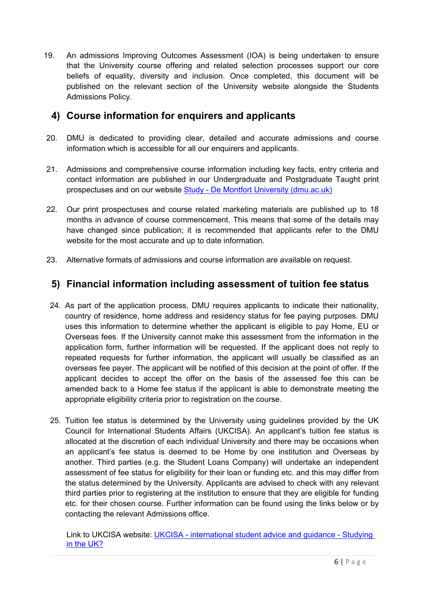19. An admissions Improving Outcomes Assessment (IOA) is being undertaken to ensure that the University course offering and related selection processes support our core beliefs of equality, diversity and inclusion. Once completed, this document will be published on the relevant section of the University website alongside the Students Admissions Policy.

## **4) Course information for enquirers and applicants**

- 20. DMU is dedicated to providing clear, detailed and accurate admissions and course information which is accessible for all our enquirers and applicants.
- 21. Admissions and comprehensive course information including key facts, entry criteria and contact information are published in our Undergraduate and Postgraduate Taught print prospectuses and on our website Study - [De Montfort University \(dmu.ac.uk\)](https://www.dmu.ac.uk/study/study.aspx)
- 22. Our print prospectuses and course related marketing materials are published up to 18 months in advance of course commencement. This means that some of the details may have changed since publication; it is recommended that applicants refer to the DMU website for the most accurate and up to date information.
- 23. Alternative formats of admissions and course information are available on request.

## **5) Financial information including assessment of tuition fee status**

- 24. As part of the application process, DMU requires applicants to indicate their nationality, country of residence, home address and residency status for fee paying purposes. DMU uses this information to determine whether the applicant is eligible to pay Home, EU or Overseas fees. If the University cannot make this assessment from the information in the application form, further information will be requested. If the applicant does not reply to repeated requests for further information, the applicant will usually be classified as an overseas fee payer. The applicant will be notified of this decision at the point of offer. If the applicant decides to accept the offer on the basis of the assessed fee this can be amended back to a Home fee status if the applicant is able to demonstrate meeting the appropriate eligibility criteria prior to registration on the course.
- 25. Tuition fee status is determined by the University using guidelines provided by the UK Council for International Students Affairs (UKCISA). An applicant's tuition fee status is allocated at the discretion of each individual University and there may be occasions when an applicant's fee status is deemed to be Home by one institution and Overseas by another. Third parties (e.g. the Student Loans Company) will undertake an independent assessment of fee status for eligibility for their loan or funding etc. and this may differ from the status determined by the University. Applicants are advised to check with any relevant third parties prior to registering at the institution to ensure that they are eligible for funding etc. for their chosen course. Further information can be found using the links below or by contacting the relevant Admissions office.

Link to UKCISA website: UKCISA - [international student advice and guidance -](https://www.ukcisa.org.uk/) Studying [in the UK?](https://www.ukcisa.org.uk/)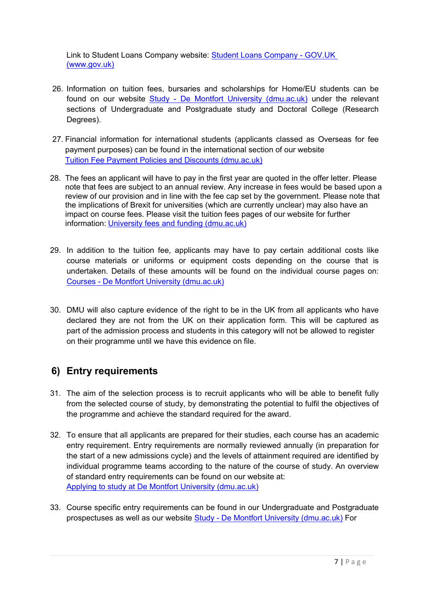Link to Student Loans Company website: [Student Loans Company -](https://www.gov.uk/government/organisations/student-loans-company) GOV.UK [\(www.gov.uk\)](https://www.gov.uk/government/organisations/student-loans-company)

- 26. Information on tuition fees, bursaries and scholarships for Home/EU students can be found on our website Study - [De Montfort University \(dmu.ac.uk\)](https://www.dmu.ac.uk/study/study.aspx) under the relevant sections of Undergraduate and Postgraduate study and Doctoral College (Research Degrees).
- 27. Financial information for international students (applicants classed as Overseas for fee payment purposes) can be found in the international section of our website [Tuition Fee Payment Policies and Discounts \(dmu.ac.uk\)](https://www.dmu.ac.uk/international/en/fees-and-scholarships/tuition-fee-payment-policies-and-discounts.aspx)
- 28. The fees an applicant will have to pay in the first year are quoted in the offer letter. Please note that fees are subject to an annual review. Any increase in fees would be based upon a review of our provision and in line with the fee cap set by the government. Please note that the implications of Brexit for universities (which are currently unclear) may also have an impact on course fees. Please visit the tuition fees pages of our website for further information: [University fees and funding \(dmu.ac.uk\)](https://www.dmu.ac.uk/study/fees-funding/index.aspx)
- 29. In addition to the tuition fee, applicants may have to pay certain additional costs like course materials or uniforms or equipment costs depending on the course that is undertaken. Details of these amounts will be found on the individual course pages on: Courses - [De Montfort University \(dmu.ac.uk\)](https://www.dmu.ac.uk/study/courses/courses.aspx)
- 30. DMU will also capture evidence of the right to be in the UK from all applicants who have declared they are not from the UK on their application form. This will be captured as part of the admission process and students in this category will not be allowed to register on their programme until we have this evidence on file.

# **6) Entry requirements**

- 31. The aim of the selection process is to recruit applicants who will be able to benefit fully from the selected course of study, by demonstrating the potential to fulfil the objectives of the programme and achieve the standard required for the award.
- 32. To ensure that all applicants are prepared for their studies, each course has an academic entry requirement. Entry requirements are normally reviewed annually (in preparation for the start of a new admissions cycle) and the levels of attainment required are identified by individual programme teams according to the nature of the course of study. An overview of standard entry requirements can be found on our website at: [Applying to study at De Montfort University \(dmu.ac.uk\)](https://www.dmu.ac.uk/study/applying/index.aspx)
- 33. Course specific entry requirements can be found in our Undergraduate and Postgraduate prospectuses as well as our website Study - [De Montfort University \(dmu.ac.uk\)](https://www.dmu.ac.uk/study/study.aspx) For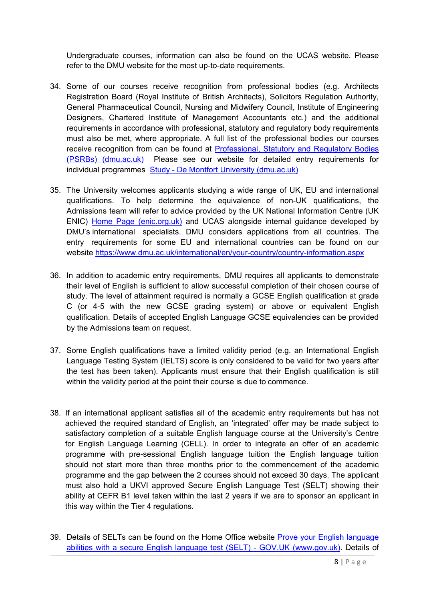Undergraduate courses, information can also be found on the UCAS website. Please refer to the DMU website for the most up-to-date requirements.

- 34. Some of our courses receive recognition from professional bodies (e.g. Architects Registration Board (Royal Institute of British Architects), Solicitors Regulation Authority, General Pharmaceutical Council, Nursing and Midwifery Council, Institute of Engineering Designers, Chartered Institute of Management Accountants etc.) and the additional requirements in accordance with professional, statutory and regulatory body requirements must also be met, where appropriate. A full list of the professional bodies our courses receive recognition from can be found at Professional, Statutory and Regulatory Bodies [\(PSRBs\) \(dmu.ac.uk\)](https://www.dmu.ac.uk/about-dmu/quality-management-and-policy/academic-quality/monitoring/monitoring-psrbs.aspx) Please see our website for detailed entry requirements for individual programmes Study - [De Montfort University \(dmu.ac.uk\)](https://www.dmu.ac.uk/study/study.aspx)
- 35. The University welcomes applicants studying a wide range of UK, EU and international qualifications. To help determine the equivalence of non-UK qualifications, the Admissions team will refer to advice provided by the UK National Information Centre (UK ENIC) [Home Page \(enic.org.uk\)](https://www.enic.org.uk/) and UCAS alongside internal guidance developed by DMU's international specialists. DMU considers applications from all countries. The entry requirements for some EU and international countries can be found on our website <https://www.dmu.ac.uk/international/en/your-country/country-information.aspx>
- 36. In addition to academic entry requirements, DMU requires all applicants to demonstrate their level of English is sufficient to allow successful completion of their chosen course of study. The level of attainment required is normally a GCSE English qualification at grade C (or 4-5 with the new GCSE grading system) or above or equivalent English qualification. Details of accepted English Language GCSE equivalencies can be provided by the Admissions team on request.
- 37. Some English qualifications have a limited validity period (e.g. an International English Language Testing System (IELTS) score is only considered to be valid for two years after the test has been taken). Applicants must ensure that their English qualification is still within the validity period at the point their course is due to commence.
- 38. If an international applicant satisfies all of the academic entry requirements but has not achieved the required standard of English, an 'integrated' offer may be made subject to satisfactory completion of a suitable English language course at the University's Centre for English Language Learning (CELL). In order to integrate an offer of an academic programme with pre-sessional English language tuition the English language tuition should not start more than three months prior to the commencement of the academic programme and the gap between the 2 courses should not exceed 30 days. The applicant must also hold a UKVI approved Secure English Language Test (SELT) showing their ability at CEFR B1 level taken within the last 2 years if we are to sponsor an applicant in this way within the Tier 4 regulations.
- 39. Details of SELTs can be found on the Home Office website Prove your English language abilities with a secure English language test (SELT) - GOV.UK (www.gov.uk). Details of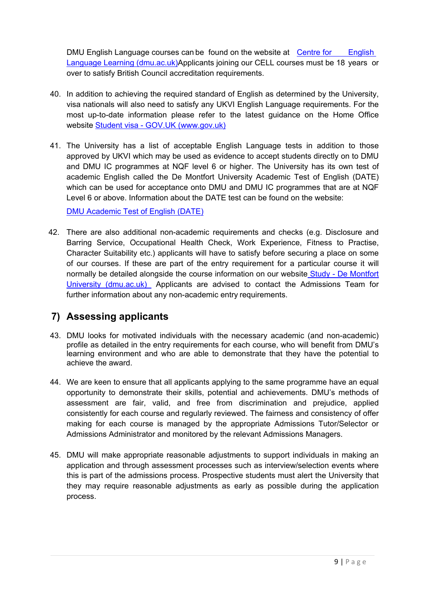DMU English Language courses can be found on the website at [Centre for](https://www.dmu.ac.uk/International/en/english-language-learning/CELL.aspx) English [Language Learning \(dmu.ac.uk\)A](https://www.dmu.ac.uk/International/en/english-language-learning/CELL.aspx)pplicants joining our CELL courses must be 18 years or over to satisfy British Council accreditation requirements.

- 40. In addition to achieving the required standard of English as determined by the University, visa nationals will also need to satisfy any UKVI English Language requirements. For the most up-to-date information please refer to the latest guidance on the Home Office website Student visa - [GOV.UK \(www.gov.uk\)](https://www.gov.uk/student-visa)
- 41. The University has a list of acceptable English Language tests in addition to those approved by UKVI which may be used as evidence to accept students directly on to DMU and DMU IC programmes at NQF level 6 or higher. The University has its own test of academic English called the De Montfort University Academic Test of English (DATE) which can be used for acceptance onto DMU and DMU IC programmes that are at NQF Level 6 or above. Information about the DATE test can be found on the website:

[DMU Academic Test of English \(DATE\)](https://www.dmu.ac.uk/international/en/english-language-learning/date.aspx)

42. There are also additional non-academic requirements and checks (e.g. Disclosure and Barring Service, Occupational Health Check, Work Experience, Fitness to Practise, Character Suitability etc.) applicants will have to satisfy before securing a place on some of our courses. If these are part of the entry requirement for a particular course it will normally be detailed alongside the course information on our website Study - [De Montfort](https://www.dmu.ac.uk/study/study.aspx)  [University \(dmu.ac.uk\)](https://www.dmu.ac.uk/study/study.aspx) Applicants are advised to contact the Admissions Team for further information about any non-academic entry requirements.

# **7) Assessing applicants**

- 43. DMU looks for motivated individuals with the necessary academic (and non-academic) profile as detailed in the entry requirements for each course, who will benefit from DMU's learning environment and who are able to demonstrate that they have the potential to achieve the award.
- 44. We are keen to ensure that all applicants applying to the same programme have an equal opportunity to demonstrate their skills, potential and achievements. DMU's methods of assessment are fair, valid, and free from discrimination and prejudice, applied consistently for each course and regularly reviewed. The fairness and consistency of offer making for each course is managed by the appropriate Admissions Tutor/Selector or Admissions Administrator and monitored by the relevant Admissions Managers.
- 45. DMU will make appropriate reasonable adjustments to support individuals in making an application and through assessment processes such as interview/selection events where this is part of the admissions process. Prospective students must alert the University that they may require reasonable adjustments as early as possible during the application process.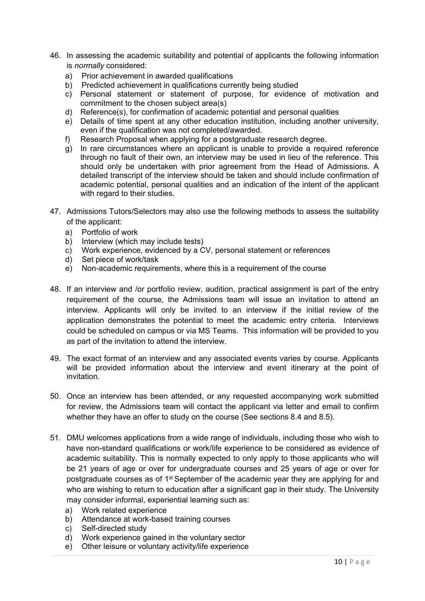- 46. In assessing the academic suitability and potential of applicants the following information is *normally* considered:
	- a) Prior achievement in awarded qualifications
	- b) Predicted achievement in qualifications currently being studied
	- c) Personal statement or statement of purpose, for evidence of motivation and commitment to the chosen subject area(s)
	- d) Reference(s), for confirmation of academic potential and personal qualities
	- e) Details of time spent at any other education institution, including another university, even if the qualification was not completed/awarded.
	- f) Research Proposal when applying for a postgraduate research degree.
	- g) In rare circumstances where an applicant is unable to provide a required reference through no fault of their own, an interview may be used in lieu of the reference. This should only be undertaken with prior agreement from the Head of Admissions. A detailed transcript of the interview should be taken and should include confirmation of academic potential, personal qualities and an indication of the intent of the applicant with regard to their studies.
- 47. Admissions Tutors/Selectors may also use the following methods to assess the suitability of the applicant:
	- a) Portfolio of work
	- b) Interview (which may include tests)
	- c) Work experience, evidenced by a CV, personal statement or references
	- d) Set piece of work/task
	- e) Non-academic requirements, where this is a requirement of the course
- 48. If an interview and /or portfolio review, audition, practical assignment is part of the entry requirement of the course, the Admissions team will issue an invitation to attend an interview. Applicants will only be invited to an interview if the initial review of the application demonstrates the potential to meet the academic entry criteria. Interviews could be scheduled on campus or via MS Teams. This information will be provided to you as part of the invitation to attend the interview.
- 49. The exact format of an interview and any associated events varies by course. Applicants will be provided information about the interview and event itinerary at the point of invitation.
- 50. Once an interview has been attended, or any requested accompanying work submitted for review, the Admissions team will contact the applicant via letter and email to confirm whether they have an offer to study on the course (See sections 8.4 and 8.5).
- 51. DMU welcomes applications from a wide range of individuals, including those who wish to have non-standard qualifications or work/life experience to be considered as evidence of academic suitability. This is normally expected to only apply to those applicants who will be 21 years of age or over for undergraduate courses and 25 years of age or over for postgraduate courses as of 1<sup>st</sup> September of the academic year they are applying for and who are wishing to return to education after a significant gap in their study. The University may consider informal, experiential learning such as:
	- a) Work related experience
	- b) Attendance at work-based training courses
	- c) Self-directed study
	- d) Work experience gained in the voluntary sector
	- e) Other leisure or voluntary activity/life experience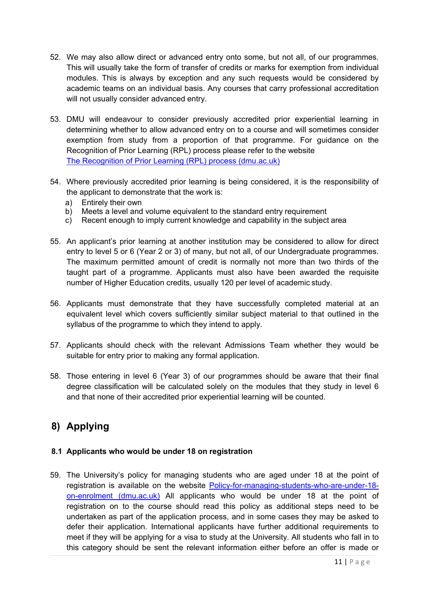- 52. We may also allow direct or advanced entry onto some, but not all, of our programmes. This will usually take the form of transfer of credits or marks for exemption from individual modules. This is always by exception and any such requests would be considered by academic teams on an individual basis. Any courses that carry professional accreditation will not usually consider advanced entry.
- 53. DMU will endeavour to consider previously accredited prior experiential learning in determining whether to allow advanced entry on to a course and will sometimes consider exemption from study from a proportion of that programme. For guidance on the Recognition of Prior Learning (RPL) process please refer to the website [The Recognition of Prior Learning \(RPL\) process \(dmu.ac.uk\)](https://www.dmu.ac.uk/about-dmu/quality-management-and-policy/academic-quality/academic-regulations-assessment-boards/the-rpl-process.aspx)
- 54. Where previously accredited prior learning is being considered, it is the responsibility of the applicant to demonstrate that the work is:
	- a) Entirely their own
	- b) Meets a level and volume equivalent to the standard entry requirement
	- c) Recent enough to imply current knowledge and capability in the subject area
- 55. An applicant's prior learning at another institution may be considered to allow for direct entry to level 5 or 6 (Year 2 or 3) of many, but not all, of our Undergraduate programmes. The maximum permitted amount of credit is normally not more than two thirds of the taught part of a programme. Applicants must also have been awarded the requisite number of Higher Education credits, usually 120 per level of academic study.
- 56. Applicants must demonstrate that they have successfully completed material at an equivalent level which covers sufficiently similar subject material to that outlined in the syllabus of the programme to which they intend to apply.
- 57. Applicants should check with the relevant Admissions Team whether they would be suitable for entry prior to making any formal application.
- 58. Those entering in level 6 (Year 3) of our programmes should be aware that their final degree classification will be calculated solely on the modules that they study in level 6 and that none of their accredited prior experiential learning will be counted.

## **8) Applying**

### **8.1 Applicants who would be under 18 on registration**

59. The University's policy for managing students who are aged under 18 at the point of registration is available on the website [Policy-for-managing-students-who-are-under-18](https://www.dmu.ac.uk/documents/dmu-students/academic-support-office/policy-for-managing-students-who-are-under-18-on-enrolment.pdf) [on-enrolment \(dmu.ac.uk\)](https://www.dmu.ac.uk/documents/dmu-students/academic-support-office/policy-for-managing-students-who-are-under-18-on-enrolment.pdf) All applicants who would be under 18 at the point of registration on to the course should read this policy as additional steps need to be undertaken as part of the application process, and in some cases they may be asked to defer their application. International applicants have further additional requirements to meet if they will be applying for a visa to study at the University. All students who fall in to this category should be sent the relevant information either before an offer is made or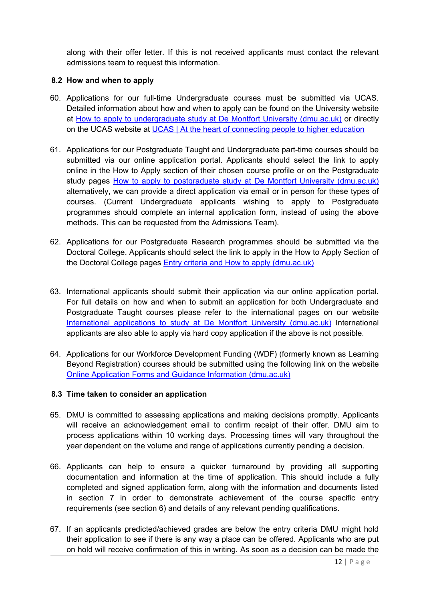along with their offer letter. If this is not received applicants must contact the relevant admissions team to request this information.

### **8.2 How and when to apply**

- 60. Applications for our full-time Undergraduate courses must be submitted via UCAS. Detailed information about how and when to apply can be found on the University website at [How to apply to undergraduate study at De Montfort University \(dmu.ac.uk\)](https://www.dmu.ac.uk/study/applying/undergraduate.aspx) or directly on the UCAS website at [UCAS | At the heart of connecting people to higher education](https://www.ucas.com/)
- 61. Applications for our Postgraduate Taught and Undergraduate part-time courses should be submitted via our online application portal. Applicants should select the link to apply online in the How to Apply section of their chosen course profile or on the Postgraduate study pages [How to apply to postgraduate study at De Montfort University \(dmu.ac.uk\)](https://www.dmu.ac.uk/study/applying/postgraduate.aspx) alternatively, we can provide a direct application via email or in person for these types of courses. (Current Undergraduate applicants wishing to apply to Postgraduate programmes should complete an internal application form, instead of using the above methods. This can be requested from the Admissions Team).
- 62. Applications for our Postgraduate Research programmes should be submitted via the Doctoral College. Applicants should select the link to apply in the How to Apply Section of the Doctoral College pages Entry criteria and [How to apply \(dmu.ac.uk\)](https://www.dmu.ac.uk/doctoral-college/study/how-to-apply.aspx)
- 63. International applicants should submit their application via our online application portal. For full details on how and when to submit an application for both Undergraduate and Postgraduate Taught courses please refer to the international pages on our website [International applications to study at De Montfort University \(dmu.ac.uk\)](https://www.dmu.ac.uk/study/applying/international.aspx) International applicants are also able to apply via hard copy application if the above is not possible.
- 64. Applications for our Workforce Development Funding (WDF) (formerly known as Learning Beyond Registration) courses should be submitted using the following link on the website [Online Application Forms and Guidance Information \(dmu.ac.uk\)](https://www.dmu.ac.uk/about-dmu/schools-and-departments/the-leicester-school-of-nursing-and-midwifery/learning-beyond-registration/online-application-forms-and-guidance-information.aspx)

#### **8.3 Time taken to consider an application**

- 65. DMU is committed to assessing applications and making decisions promptly. Applicants will receive an acknowledgement email to confirm receipt of their offer. DMU aim to process applications within 10 working days. Processing times will vary throughout the year dependent on the volume and range of applications currently pending a decision.
- 66. Applicants can help to ensure a quicker turnaround by providing all supporting documentation and information at the time of application. This should include a fully completed and signed application form, along with the information and documents listed in section 7 in order to demonstrate achievement of the course specific entry requirements (see section 6) and details of any relevant pending qualifications.
- 67. If an applicants predicted/achieved grades are below the entry criteria DMU might hold their application to see if there is any way a place can be offered. Applicants who are put on hold will receive confirmation of this in writing. As soon as a decision can be made the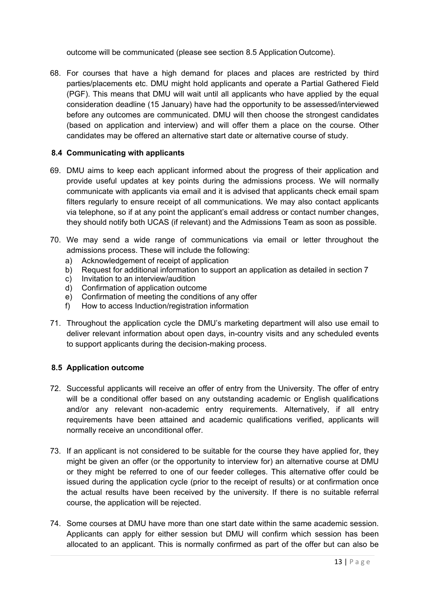outcome will be communicated (please see section 8.5 Application Outcome).

68. For courses that have a high demand for places and places are restricted by third parties/placements etc. DMU might hold applicants and operate a Partial Gathered Field (PGF). This means that DMU will wait until all applicants who have applied by the equal consideration deadline (15 January) have had the opportunity to be assessed/interviewed before any outcomes are communicated. DMU will then choose the strongest candidates (based on application and interview) and will offer them a place on the course. Other candidates may be offered an alternative start date or alternative course of study.

### **8.4 Communicating with applicants**

- 69. DMU aims to keep each applicant informed about the progress of their application and provide useful updates at key points during the admissions process. We will normally communicate with applicants via email and it is advised that applicants check email spam filters regularly to ensure receipt of all communications. We may also contact applicants via telephone, so if at any point the applicant's email address or contact number changes, they should notify both UCAS (if relevant) and the Admissions Team as soon as possible.
- 70. We may send a wide range of communications via email or letter throughout the admissions process. These will include the following:
	- a) Acknowledgement of receipt of application
	- b) Request for additional information to support an application as detailed in section 7
	- c) Invitation to an interview/audition
	- d) Confirmation of application outcome
	- e) Confirmation of meeting the conditions of any offer
	- f) How to access Induction/registration information
- 71. Throughout the application cycle the DMU's marketing department will also use email to deliver relevant information about open days, in-country visits and any scheduled events to support applicants during the decision-making process.

### **8.5 Application outcome**

- 72. Successful applicants will receive an offer of entry from the University. The offer of entry will be a conditional offer based on any outstanding academic or English qualifications and/or any relevant non-academic entry requirements. Alternatively, if all entry requirements have been attained and academic qualifications verified, applicants will normally receive an unconditional offer.
- 73. If an applicant is not considered to be suitable for the course they have applied for, they might be given an offer (or the opportunity to interview for) an alternative course at DMU or they might be referred to one of our feeder colleges. This alternative offer could be issued during the application cycle (prior to the receipt of results) or at confirmation once the actual results have been received by the university. If there is no suitable referral course, the application will be rejected.
- 74. Some courses at DMU have more than one start date within the same academic session. Applicants can apply for either session but DMU will confirm which session has been allocated to an applicant. This is normally confirmed as part of the offer but can also be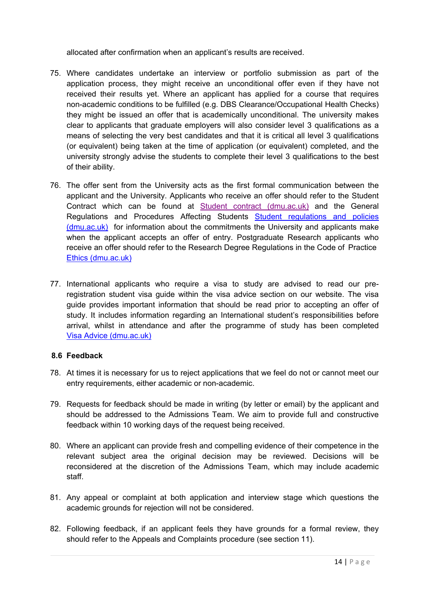allocated after confirmation when an applicant's results are received.

- 75. Where candidates undertake an interview or portfolio submission as part of the application process, they might receive an unconditional offer even if they have not received their results yet. Where an applicant has applied for a course that requires non-academic conditions to be fulfilled (e.g. DBS Clearance/Occupational Health Checks) they might be issued an offer that is academically unconditional. The university makes clear to applicants that graduate employers will also consider level 3 qualifications as a means of selecting the very best candidates and that it is critical all level 3 qualifications (or equivalent) being taken at the time of application (or equivalent) completed, and the university strongly advise the students to complete their level 3 qualifications to the best of their ability.
- 76. The offer sent from the University acts as the first formal communication between the applicant and the University. Applicants who receive an offer should refer to the Student Contract which can be found at [Student contract \(dmu.ac.uk\)](https://www.dmu.ac.uk/study/student-contract/index.aspx) and the General Regulations and Procedures Affecting Students Student regulations and policies [\(dmu.ac.uk\)](https://www.dmu.ac.uk/current-students/student-support/exams-deferrals-regulations-policies/student-regulations-and-policies/index.aspx) for information about the commitments the University and applicants make when the applicant accepts an offer of entry. Postgraduate Research applicants who receive an offer should refer to the Research Degree Regulations in the Code of Practice [Ethics \(dmu.ac.uk\)](https://www.dmu.ac.uk/research/ethics-and-governance/research-integrity-and-ethics.aspx)
- 77. International applicants who require a visa to study are advised to read our preregistration student visa guide within the visa advice section on our website. The visa guide provides important information that should be read prior to accepting an offer of study. It includes information regarding an International student's responsibilities before arrival, whilst in attendance and after the programme of study has been completed [Visa Advice \(dmu.ac.uk\)](https://www.dmu.ac.uk/international/en/making-a-student-visa-application/visa-advice.aspx)

### **8.6 Feedback**

- 78. At times it is necessary for us to reject applications that we feel do not or cannot meet our entry requirements, either academic or non-academic.
- 79. Requests for feedback should be made in writing (by letter or email) by the applicant and should be addressed to the Admissions Team. We aim to provide full and constructive feedback within 10 working days of the request being received.
- 80. Where an applicant can provide fresh and compelling evidence of their competence in the relevant subject area the original decision may be reviewed. Decisions will be reconsidered at the discretion of the Admissions Team, which may include academic staff.
- 81. Any appeal or complaint at both application and interview stage which questions the academic grounds for rejection will not be considered.
- 82. Following feedback, if an applicant feels they have grounds for a formal review, they should refer to the Appeals and Complaints procedure (see section 11).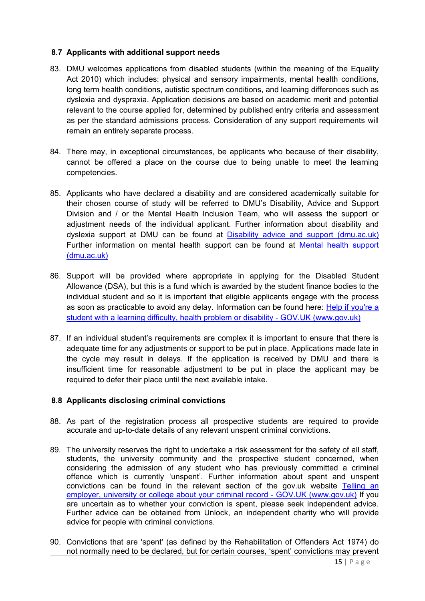#### **8.7 Applicants with additional support needs**

- 83. DMU welcomes applications from disabled students (within the meaning of the Equality Act 2010) which includes: physical and sensory impairments, mental health conditions, long term health conditions, autistic spectrum conditions, and learning differences such as dyslexia and dyspraxia. Application decisions are based on academic merit and potential relevant to the course applied for, determined by published entry criteria and assessment as per the standard admissions process. Consideration of any support requirements will remain an entirely separate process.
- 84. There may, in exceptional circumstances, be applicants who because of their disability, cannot be offered a place on the course due to being unable to meet the learning competencies.
- 85. Applicants who have declared a disability and are considered academically suitable for their chosen course of study will be referred to DMU's Disability, Advice and Support Division and / or the Mental Health Inclusion Team, who will assess the support or adjustment needs of the individual applicant. Further information about disability and dyslexia support at DMU can be found at [Disability advice and support \(dmu.ac.uk\)](https://www.dmu.ac.uk/current-students/student-support/wellbeing-disability/disability-advice-support/index.aspx) Further information on mental health support can be found at Mental health support [\(dmu.ac.uk\)](https://www.dmu.ac.uk/current-students/student-support/wellbeing-disability/mental-health-support/index.aspx)
- 86. Support will be provided where appropriate in applying for the Disabled Student Allowance (DSA), but this is a fund which is awarded by the student finance bodies to the individual student and so it is important that eligible applicants engage with the process as soon as practicable to avoid any delay. Information can be found here: Help if you're a [student with a learning difficulty, health problem or disability -](https://www.gov.uk/disabled-students-allowance-dsa) GOV.UK (www.gov.uk)
- 87. If an individual student's requirements are complex it is important to ensure that there is adequate time for any adjustments or support to be put in place. Applications made late in the cycle may result in delays. If the application is received by DMU and there is insufficient time for reasonable adjustment to be put in place the applicant may be required to defer their place until the next available intake.

### **8.8 Applicants disclosing criminal convictions**

- 88. As part of the registration process all prospective students are required to provide accurate and up-to-date details of any relevant unspent criminal convictions.
- 89. The university reserves the right to undertake a risk assessment for the safety of all staff. students, the university community and the prospective student concerned, when considering the admission of any student who has previously committed a criminal offence which is currently 'unspent'. Further information about spent and unspent convictions can be found in the relevant section of the gov.uk website Telling an employer, university or college about your criminal record - GOV.UK (www.gov.uk) If you are uncertain as to whether your conviction is spent, please seek independent advice. Further advice can be obtained from Unlock, an independent charity who will provide advice for people with criminal convictions.
- 90. Convictions that are 'spent' (as defined by the Rehabilitation of Offenders Act 1974) do not normally need to be declared, but for certain courses, 'spent' convictions may prevent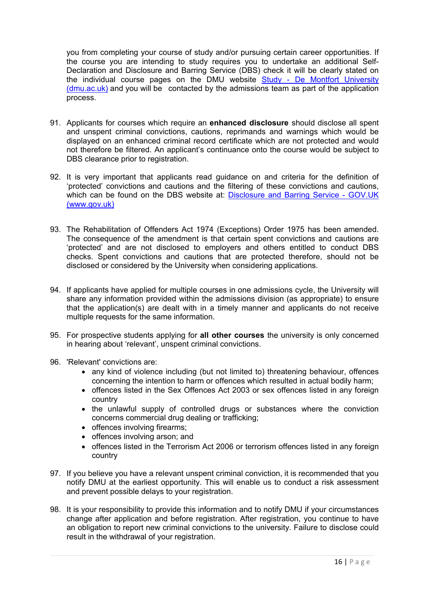you from completing your course of study and/or pursuing certain career opportunities. If the course you are intending to study requires you to undertake an additional Self-Declaration and Disclosure and Barring Service (DBS) check it will be clearly stated on the individual course pages on the DMU website Study - De Montfort University [\(dmu.ac.uk\)](https://www.dmu.ac.uk/study/study.aspx) and you will be contacted by the admissions team as part of the application process.

- 91. Applicants for courses which require an **enhanced disclosure** should disclose all spent and unspent criminal convictions, cautions, reprimands and warnings which would be displayed on an enhanced criminal record certificate which are not protected and would not therefore be filtered. An applicant's continuance onto the course would be subject to DBS clearance prior to registration.
- 92. It is very important that applicants read guidance on and criteria for the definition of 'protected' convictions and cautions and the filtering of these convictions and cautions, which can be found on the DBS website at: Disclosure and Barring Service - GOV.UK (www.gov.uk)
- 93. The Rehabilitation of Offenders Act 1974 (Exceptions) Order 1975 has been amended. The consequence of the amendment is that certain spent convictions and cautions are 'protected' and are not disclosed to employers and others entitled to conduct DBS checks. Spent convictions and cautions that are protected therefore, should not be disclosed or considered by the University when considering applications.
- 94. If applicants have applied for multiple courses in one admissions cycle, the University will share any information provided within the admissions division (as appropriate) to ensure that the application(s) are dealt with in a timely manner and applicants do not receive multiple requests for the same information.
- 95. For prospective students applying for **all other courses** the university is only concerned in hearing about 'relevant', unspent criminal convictions.
- 96. 'Relevant' convictions are:
	- any kind of violence including (but not limited to) threatening behaviour, offences concerning the intention to harm or offences which resulted in actual bodily harm;
	- offences listed in the Sex Offences Act 2003 or sex offences listed in any foreign country
	- the unlawful supply of controlled drugs or substances where the conviction concerns commercial drug dealing or trafficking;
	- offences involving firearms:
	- offences involving arson; and
	- offences listed in the Terrorism Act 2006 or terrorism offences listed in any foreign country
- 97. If you believe you have a relevant unspent criminal conviction, it is recommended that you notify DMU at the earliest opportunity. This will enable us to conduct a risk assessment and prevent possible delays to your registration.
- 98. It is your responsibility to provide this information and to notify DMU if your circumstances change after application and before registration. After registration, you continue to have an obligation to report new criminal convictions to the university. Failure to disclose could result in the withdrawal of your registration.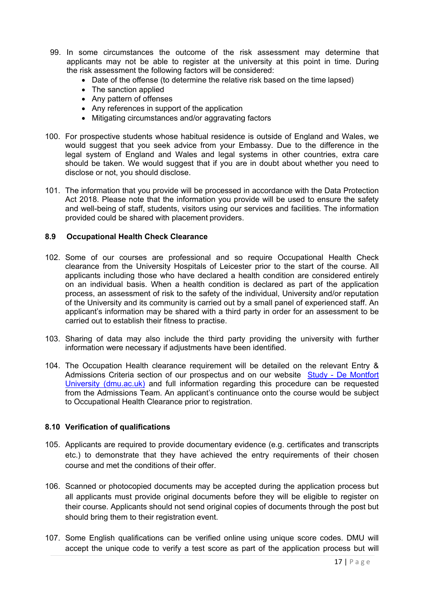- 99. In some circumstances the outcome of the risk assessment may determine that applicants may not be able to register at the university at this point in time. During the risk assessment the following factors will be considered:
	- Date of the offense (to determine the relative risk based on the time lapsed)
	- The sanction applied
	- Any pattern of offenses
	- Any references in support of the application
	- Mitigating circumstances and/or aggravating factors
- 100. For prospective students whose habitual residence is outside of England and Wales, we would suggest that you seek advice from your Embassy. Due to the difference in the legal system of England and Wales and legal systems in other countries, extra care should be taken. We would suggest that if you are in doubt about whether you need to disclose or not, you should disclose.
- 101. The information that you provide will be processed in accordance with the Data Protection Act 2018. Please note that the information you provide will be used to ensure the safety and well-being of staff, students, visitors using our services and facilities. The information provided could be shared with placement providers.

#### **8.9 Occupational Health Check Clearance**

- 102. Some of our courses are professional and so require Occupational Health Check clearance from the University Hospitals of Leicester prior to the start of the course. All applicants including those who have declared a health condition are considered entirely on an individual basis. When a health condition is declared as part of the application process, an assessment of risk to the safety of the individual, University and/or reputation of the University and its community is carried out by a small panel of experienced staff. An applicant's information may be shared with a third party in order for an assessment to be carried out to establish their fitness to practise.
- 103. Sharing of data may also include the third party providing the university with further information were necessary if adjustments have been identified.
- 104. The Occupation Health clearance requirement will be detailed on the relevant Entry & Admissions Criteria section of our prospectus and on our website Study - De Montfort [University \(dmu.ac.uk\)](http://www.dmu.ac.uk/study) and full information regarding this procedure can be requested from the Admissions Team. An applicant's continuance onto the course would be subject to Occupational Health Clearance prior to registration.

#### **8.10 Verification of qualifications**

- 105. Applicants are required to provide documentary evidence (e.g. certificates and transcripts etc.) to demonstrate that they have achieved the entry requirements of their chosen course and met the conditions of their offer.
- 106. Scanned or photocopied documents may be accepted during the application process but all applicants must provide original documents before they will be eligible to register on their course. Applicants should not send original copies of documents through the post but should bring them to their registration event.
- 107. Some English qualifications can be verified online using unique score codes. DMU will accept the unique code to verify a test score as part of the application process but will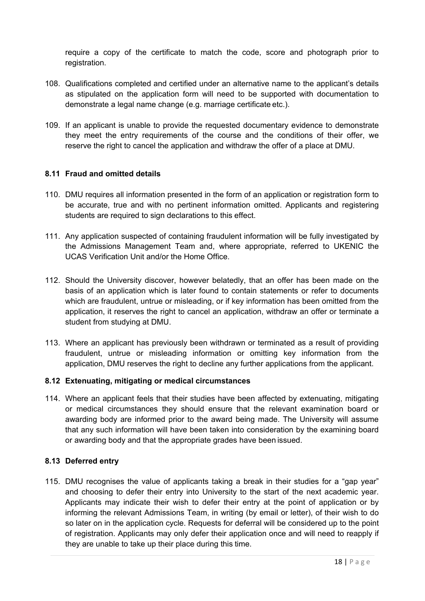require a copy of the certificate to match the code, score and photograph prior to registration.

- 108. Qualifications completed and certified under an alternative name to the applicant's details as stipulated on the application form will need to be supported with documentation to demonstrate a legal name change (e.g. marriage certificate etc.).
- 109. If an applicant is unable to provide the requested documentary evidence to demonstrate they meet the entry requirements of the course and the conditions of their offer, we reserve the right to cancel the application and withdraw the offer of a place at DMU.

### **8.11 Fraud and omitted details**

- 110. DMU requires all information presented in the form of an application or registration form to be accurate, true and with no pertinent information omitted. Applicants and registering students are required to sign declarations to this effect.
- 111. Any application suspected of containing fraudulent information will be fully investigated by the Admissions Management Team and, where appropriate, referred to UKENIC the UCAS Verification Unit and/or the Home Office.
- 112. Should the University discover, however belatedly, that an offer has been made on the basis of an application which is later found to contain statements or refer to documents which are fraudulent, untrue or misleading, or if key information has been omitted from the application, it reserves the right to cancel an application, withdraw an offer or terminate a student from studying at DMU.
- 113. Where an applicant has previously been withdrawn or terminated as a result of providing fraudulent, untrue or misleading information or omitting key information from the application, DMU reserves the right to decline any further applications from the applicant.

#### **8.12 Extenuating, mitigating or medical circumstances**

114. Where an applicant feels that their studies have been affected by extenuating, mitigating or medical circumstances they should ensure that the relevant examination board or awarding body are informed prior to the award being made. The University will assume that any such information will have been taken into consideration by the examining board or awarding body and that the appropriate grades have been issued.

#### **8.13 Deferred entry**

115. DMU recognises the value of applicants taking a break in their studies for a "gap year" and choosing to defer their entry into University to the start of the next academic year. Applicants may indicate their wish to defer their entry at the point of application or by informing the relevant Admissions Team, in writing (by email or letter), of their wish to do so later on in the application cycle. Requests for deferral will be considered up to the point of registration. Applicants may only defer their application once and will need to reapply if they are unable to take up their place during this time.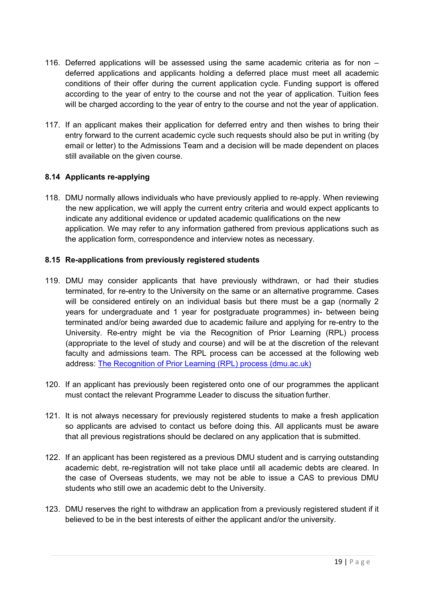- 116. Deferred applications will be assessed using the same academic criteria as for non deferred applications and applicants holding a deferred place must meet all academic conditions of their offer during the current application cycle. Funding support is offered according to the year of entry to the course and not the year of application. Tuition fees will be charged according to the year of entry to the course and not the year of application.
- 117. If an applicant makes their application for deferred entry and then wishes to bring their entry forward to the current academic cycle such requests should also be put in writing (by email or letter) to the Admissions Team and a decision will be made dependent on places still available on the given course.

### **8.14 Applicants re-applying**

118. DMU normally allows individuals who have previously applied to re-apply. When reviewing the new application, we will apply the current entry criteria and would expect applicants to indicate any additional evidence or updated academic qualifications on the new application. We may refer to any information gathered from previous applications such as the application form, correspondence and interview notes as necessary.

#### **8.15 Re-applications from previously registered students**

- 119. DMU may consider applicants that have previously withdrawn, or had their studies terminated, for re-entry to the University on the same or an alternative programme. Cases will be considered entirely on an individual basis but there must be a gap (normally 2 years for undergraduate and 1 year for postgraduate programmes) in- between being terminated and/or being awarded due to academic failure and applying for re-entry to the University. Re-entry might be via the Recognition of Prior Learning (RPL) process (appropriate to the level of study and course) and will be at the discretion of the relevant faculty and admissions team. The RPL process can be accessed at the following web address: [The Recognition of Prior Learning \(RPL\) process \(dmu.ac.uk\)](https://www.dmu.ac.uk/about-dmu/quality-management-and-policy/academic-quality/academic-regulations-assessment-boards/the-rpl-process.aspx)
- 120. If an applicant has previously been registered onto one of our programmes the applicant must contact the relevant Programme Leader to discuss the situation further.
- 121. It is not always necessary for previously registered students to make a fresh application so applicants are advised to contact us before doing this. All applicants must be aware that all previous registrations should be declared on any application that is submitted.
- 122. If an applicant has been registered as a previous DMU student and is carrying outstanding academic debt, re-registration will not take place until all academic debts are cleared. In the case of Overseas students, we may not be able to issue a CAS to previous DMU students who still owe an academic debt to the University.
- 123. DMU reserves the right to withdraw an application from a previously registered student if it believed to be in the best interests of either the applicant and/or the university.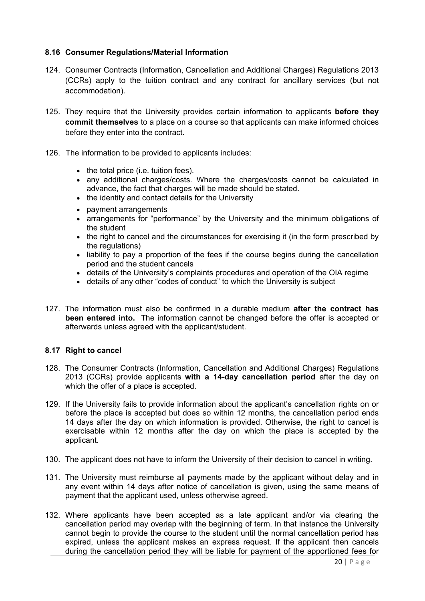#### **8.16 Consumer Regulations/Material Information**

- 124. Consumer Contracts (Information, Cancellation and Additional Charges) Regulations 2013 (CCRs) apply to the tuition contract and any contract for ancillary services (but not accommodation).
- 125. They require that the University provides certain information to applicants **before they commit themselves** to a place on a course so that applicants can make informed choices before they enter into the contract.
- 126. The information to be provided to applicants includes:
	- the total price (i.e. tuition fees).
	- any additional charges/costs. Where the charges/costs cannot be calculated in advance, the fact that charges will be made should be stated.
	- the identity and contact details for the University
	- payment arrangements
	- arrangements for "performance" by the University and the minimum obligations of the student
	- the right to cancel and the circumstances for exercising it (in the form prescribed by the regulations)
	- liability to pay a proportion of the fees if the course begins during the cancellation period and the student cancels
	- details of the University's complaints procedures and operation of the OIA regime
	- details of any other "codes of conduct" to which the University is subject
- 127. The information must also be confirmed in a durable medium **after the contract has been entered into.** The information cannot be changed before the offer is accepted or afterwards unless agreed with the applicant/student.

#### **8.17 Right to cancel**

- 128. The Consumer Contracts (Information, Cancellation and Additional Charges) Regulations 2013 (CCRs) provide applicants **with a 14-day cancellation period** after the day on which the offer of a place is accepted.
- 129. If the University fails to provide information about the applicant's cancellation rights on or before the place is accepted but does so within 12 months, the cancellation period ends 14 days after the day on which information is provided. Otherwise, the right to cancel is exercisable within 12 months after the day on which the place is accepted by the applicant.
- 130. The applicant does not have to inform the University of their decision to cancel in writing.
- 131. The University must reimburse all payments made by the applicant without delay and in any event within 14 days after notice of cancellation is given, using the same means of payment that the applicant used, unless otherwise agreed.
- 132. Where applicants have been accepted as a late applicant and/or via clearing the cancellation period may overlap with the beginning of term. In that instance the University cannot begin to provide the course to the student until the normal cancellation period has expired, unless the applicant makes an express request. If the applicant then cancels during the cancellation period they will be liable for payment of the apportioned fees for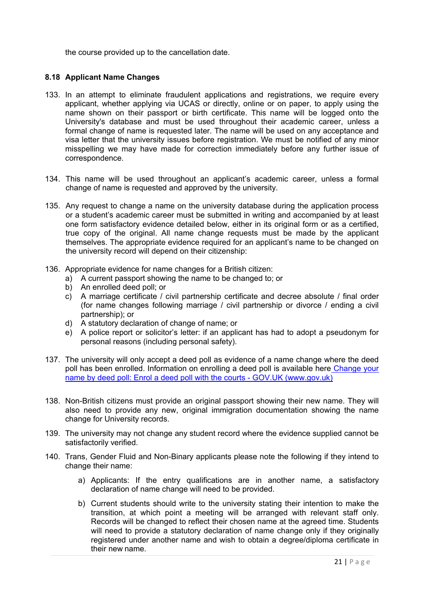the course provided up to the cancellation date.

#### **8.18 Applicant Name Changes**

- 133. In an attempt to eliminate fraudulent applications and registrations, we require every applicant, whether applying via UCAS or directly, online or on paper, to apply using the name shown on their passport or birth certificate. This name will be logged onto the University's database and must be used throughout their academic career, unless a formal change of name is requested later. The name will be used on any acceptance and visa letter that the university issues before registration. We must be notified of any minor misspelling we may have made for correction immediately before any further issue of correspondence.
- 134. This name will be used throughout an applicant's academic career, unless a formal change of name is requested and approved by the university.
- 135. Any request to change a name on the university database during the application process or a student's academic career must be submitted in writing and accompanied by at least one form satisfactory evidence detailed below, either in its original form or as a certified, true copy of the original. All name change requests must be made by the applicant themselves. The appropriate evidence required for an applicant's name to be changed on the university record will depend on their citizenship:
- 136. Appropriate evidence for name changes for a British citizen:
	- a) A current passport showing the name to be changed to; or
	- b) An enrolled deed poll; or
	- c) A marriage certificate / civil partnership certificate and decree absolute / final order (for name changes following marriage / civil partnership or divorce / ending a civil partnership); or
	- d) A statutory declaration of change of name; or
	- e) A police report or solicitor's letter: if an applicant has had to adopt a pseudonym for personal reasons (including personal safety).
- 137. The university will only accept a deed poll as evidence of a name change where the deed poll has been enrolled. Information on enrolling a deed poll is available here Change your name by deed poll: Enrol a deed poll with the courts - GOV.UK (www.gov.uk)
- 138. Non-British citizens must provide an original passport showing their new name. They will also need to provide any new, original immigration documentation showing the name change for University records.
- 139. The university may not change any student record where the evidence supplied cannot be satisfactorily verified.
- 140. Trans, Gender Fluid and Non-Binary applicants please note the following if they intend to change their name:
	- a) Applicants: If the entry qualifications are in another name, a satisfactory declaration of name change will need to be provided.
	- b) Current students should write to the university stating their intention to make the transition, at which point a meeting will be arranged with relevant staff only. Records will be changed to reflect their chosen name at the agreed time. Students will need to provide a statutory declaration of name change only if they originally registered under another name and wish to obtain a degree/diploma certificate in their new name.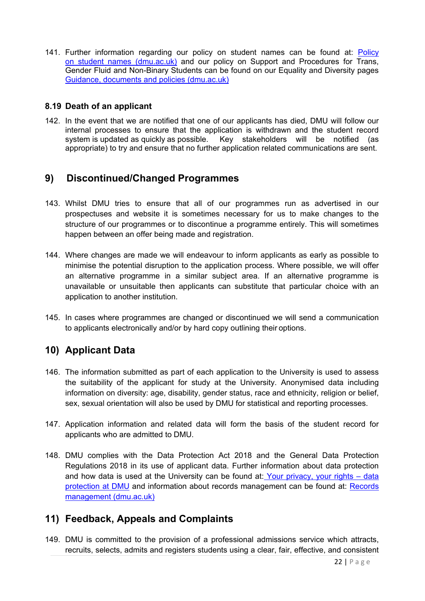141. Further information regarding our policy on student names can be found at: Policy [on student names \(dmu.ac.uk\)](https://www.dmu.ac.uk/about-dmu/quality-management-and-policy/students/policy-on-student-names.aspx) and our policy on Support and Procedures for Trans, Gender Fluid and Non-Binary Students can be found on our Equality and Diversity pages [Guidance, documents and policies \(dmu.ac.uk\)](https://www.dmu.ac.uk/about-dmu/professional-services/equality-and-diversity/guidance-documents-and-policies.aspx)

### **8.19 Death of an applicant**

142. In the event that we are notified that one of our applicants has died, DMU will follow our internal processes to ensure that the application is withdrawn and the student record system is updated as quickly as possible. Key stakeholders will be notified (as appropriate) to try and ensure that no further application related communications are sent.

## **9) Discontinued/Changed Programmes**

- 143. Whilst DMU tries to ensure that all of our programmes run as advertised in our prospectuses and website it is sometimes necessary for us to make changes to the structure of our programmes or to discontinue a programme entirely. This will sometimes happen between an offer being made and registration.
- 144. Where changes are made we will endeavour to inform applicants as early as possible to minimise the potential disruption to the application process. Where possible, we will offer an alternative programme in a similar subject area. If an alternative programme is unavailable or unsuitable then applicants can substitute that particular choice with an application to another institution.
- 145. In cases where programmes are changed or discontinued we will send a communication to applicants electronically and/or by hard copy outlining their options.

## **10) Applicant Data**

- 146. The information submitted as part of each application to the University is used to assess the suitability of the applicant for study at the University. Anonymised data including information on diversity: age, disability, gender status, race and ethnicity, religion or belief, sex, sexual orientation will also be used by DMU for statistical and reporting processes.
- 147. Application information and related data will form the basis of the student record for applicants who are admitted to DMU.
- 148. DMU complies with the Data Protection Act 2018 and the General Data Protection Regulations 2018 in its use of applicant data. Further information about data protection and how data is used at the University can be found at: [Your privacy, your rights –](https://www.dmu.ac.uk/policies/data-protection/data-protection.aspx) data [protection at DMU](https://www.dmu.ac.uk/policies/data-protection/data-protection.aspx) and information about records management can be found at: [Records](https://www.dmu.ac.uk/about-dmu/quality-management-and-policy/records-management/records-management.aspx)  [management \(dmu.ac.uk\)](https://www.dmu.ac.uk/about-dmu/quality-management-and-policy/records-management/records-management.aspx)

## **11) Feedback, Appeals and Complaints**

149. DMU is committed to the provision of a professional admissions service which attracts, recruits, selects, admits and registers students using a clear, fair, effective, and consistent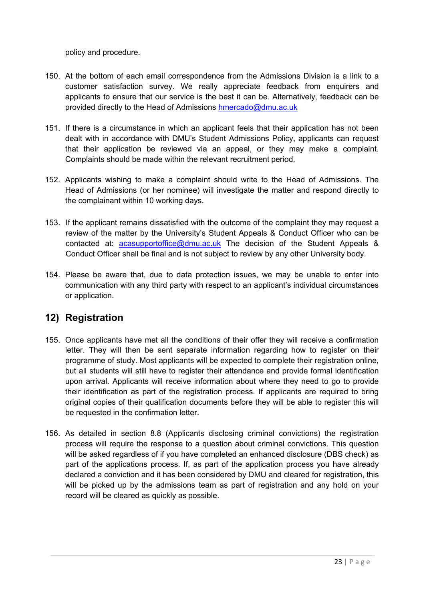policy and procedure.

- 150. At the bottom of each email correspondence from the Admissions Division is a link to a customer satisfaction survey. We really appreciate feedback from enquirers and applicants to ensure that our service is the best it can be. Alternatively, feedback can be provided directly to the Head of Admissions [hmercado@dmu.ac.uk](mailto:hmercado@dmu.ac.uk)
- 151. If there is a circumstance in which an applicant feels that their application has not been dealt with in accordance with DMU's Student Admissions Policy, applicants can request that their application be reviewed via an appeal, or they may make a complaint. Complaints should be made within the relevant recruitment period.
- 152. Applicants wishing to make a complaint should write to the Head of Admissions. The Head of Admissions (or her nominee) will investigate the matter and respond directly to the complainant within 10 working days.
- 153. If the applicant remains dissatisfied with the outcome of the complaint they may request a review of the matter by the University's Student Appeals & Conduct Officer who can be contacted at: [acasupportoffice@dmu.ac.uk](mailto:acasupportoffice@dmu.ac.uk) The decision of the Student Appeals & Conduct Officer shall be final and is not subject to review by any other University body.
- 154. Please be aware that, due to data protection issues, we may be unable to enter into communication with any third party with respect to an applicant's individual circumstances or application.

## **12) Registration**

- 155. Once applicants have met all the conditions of their offer they will receive a confirmation letter. They will then be sent separate information regarding how to register on their programme of study. Most applicants will be expected to complete their registration online, but all students will still have to register their attendance and provide formal identification upon arrival. Applicants will receive information about where they need to go to provide their identification as part of the registration process. If applicants are required to bring original copies of their qualification documents before they will be able to register this will be requested in the confirmation letter.
- 156. As detailed in section 8.8 (Applicants disclosing criminal convictions) the registration process will require the response to a question about criminal convictions. This question will be asked regardless of if you have completed an enhanced disclosure (DBS check) as part of the applications process. If, as part of the application process you have already declared a conviction and it has been considered by DMU and cleared for registration, this will be picked up by the admissions team as part of registration and any hold on your record will be cleared as quickly as possible.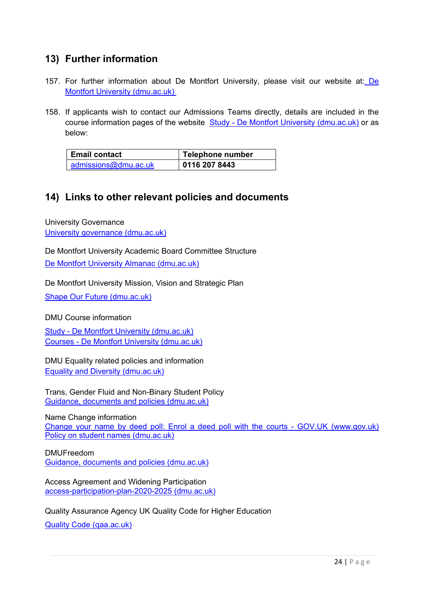## **13) Further information**

- 157. For further information about [De](http://www.dmu.ac.uk/) Montfort University, please visit our website at: De [Montfort University \(dmu.ac.uk\)](http://www.dmu.ac.uk/)
- 158. If applicants wish to contact our Admissions Teams directly, details are included in the course information pages of the website Study - [De Montfort University \(dmu.ac.uk\)](http://www.dmu.ac.uk/study) or as below:

| <b>Email contact</b> | Telephone number |  |
|----------------------|------------------|--|
| admissions@dmu.ac.uk | 0116 207 8443    |  |

## **14) Links to other relevant policies and documents**

University Governance [University governance \(dmu.ac.uk\)](https://www.dmu.ac.uk/about-dmu/university-governance/university-governance.aspx)

De Montfort University Academic Board Committee Structure [De Montfort University Almanac \(dmu.ac.uk\)](https://www.dmu.ac.uk/documents/about-dmu-documents/university-governance/de-montfort-university-almanac.pdf)

De Montfort University Mission, Vision and Strategic Plan

[Shape Our Future \(dmu.ac.uk\)](https://www.dmu.ac.uk/shape-our-future/shape-our-future.aspx)

DMU Course information

Study - [De Montfort University \(dmu.ac.uk\)](https://www.dmu.ac.uk/study/study.aspx) Courses - [De Montfort University \(dmu.ac.uk\)](https://www.dmu.ac.uk/study/courses/courses.aspx)

DMU Equality related policies and information [Equality and Diversity \(dmu.ac.uk\)](https://www.dmu.ac.uk/about-dmu/professional-services/equality-and-diversity/equality-and-diversity.aspx)

Trans, Gender Fluid and Non-Binary Student Policy [Guidance, documents and policies \(dmu.ac.uk\)](https://www.dmu.ac.uk/about-dmu/professional-services/equality-and-diversity/guidance-documents-and-policies.aspx)

Name Change information [Change your name by deed poll: Enrol a deed poll with the courts -](https://www.gov.uk/change-name-deed-poll/enrol-a-deed-poll-with-the-courts) GOV.UK (www.gov.uk) [Policy on student names \(dmu.ac.uk\)](https://www.dmu.ac.uk/about-dmu/quality-management-and-policy/students/policy-on-student-names.aspx)

DMUFreedom [Guidance, documents and policies \(dmu.ac.uk\)](https://www.dmu.ac.uk/about-dmu/professional-services/equality-and-diversity/guidance-documents-and-policies.aspx)

Access Agreement and Widening Participation [access-participation-plan-2020-2025 \(dmu.ac.uk\)](https://www.dmu.ac.uk/documents/university-governance/access-participation-plan-2020-2025.pdf)

Quality Assurance Agency UK Quality Code for Higher Education

[Quality Code \(qaa.ac.uk\)](https://www.qaa.ac.uk/quality-code)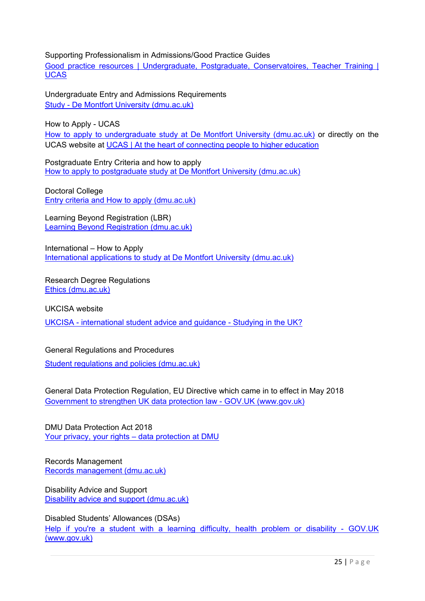Supporting Professionalism in Admissions/Good Practice Guides

Good [practice resources | Undergraduate, Postgraduate, Conservatoires, Teacher Training |](https://www.ucas.com/providers/good-practice)  **[UCAS](https://www.ucas.com/providers/good-practice)** 

Undergraduate Entry and Admissions Requirements Study - [De Montfort University \(dmu.ac.uk\)](https://www.dmu.ac.uk/study/study.aspx)

How to Apply - UCAS

[How to apply to undergraduate study at De Montfort University \(dmu.ac.uk\)](https://www.dmu.ac.uk/study/applying/undergraduate.aspx) or directly on the UCAS website at [UCAS | At the heart of connecting people to higher education](https://www.ucas.com/)

Postgraduate Entry Criteria and how to apply [How to apply to postgraduate study at De Montfort University \(dmu.ac.uk\)](https://www.dmu.ac.uk/study/applying/postgraduate.aspx)

Doctoral College [Entry criteria and How to apply \(dmu.ac.uk\)](https://www.dmu.ac.uk/doctoral-college/study/how-to-apply.aspx)

Learning Beyond Registration (LBR) [Learning Beyond Registration \(dmu.ac.uk\)](https://www.dmu.ac.uk/about-dmu/schools-and-departments/the-leicester-school-of-nursing-and-midwifery/learning-beyond-registration/learning-beyond-registration.aspx)

International – How to Apply [International applications to study at De Montfort University \(dmu.ac.uk\)](https://www.dmu.ac.uk/study/applying/international.aspx)

Research Degree Regulations [Ethics \(dmu.ac.uk\)](https://www.dmu.ac.uk/research/ethics-and-governance/research-integrity-and-ethics.aspx)

UKCISA website

UKCISA - [international student advice and guidance -](https://www.ukcisa.org.uk/) Studying in the UK?

General Regulations and Procedures

[Student regulations and policies \(dmu.ac.uk\)](https://www.dmu.ac.uk/current-students/student-support/exams-deferrals-regulations-policies/student-regulations-and-policies/index.aspx)

General Data Protection Regulation, EU Directive which came in to effect in May 2018 Government to strengthen UK data protection law - GOV.UK (www.gov.uk)

DMU Data Protection Act 2018 [Your privacy, your rights –](https://www.dmu.ac.uk/policies/data-protection/data-protection.aspx) data protection at DMU

Records Management [Records management \(dmu.ac.uk\)](https://www.dmu.ac.uk/about-dmu/quality-management-and-policy/records-management/records-management.aspx)

Disability Advice and Support [Disability advice and support \(dmu.ac.uk\)](https://www.dmu.ac.uk/current-students/student-support/wellbeing-disability/disability-advice-support/index.aspx)

Disabled Students' Allowances (DSAs)

Help if you're a student with a learning difficulty, health problem or disability - GOV.UK (www.gov.uk)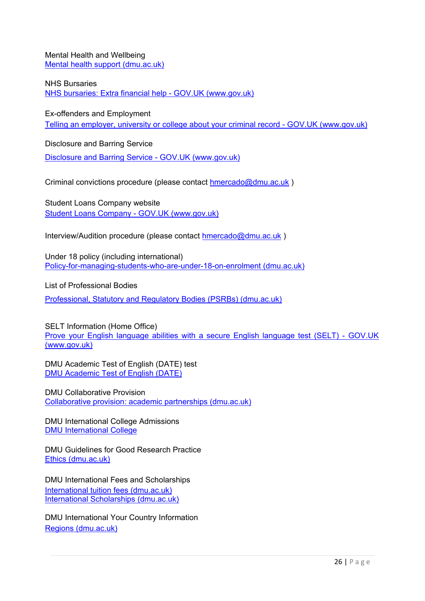Mental Health and Wellbeing [Mental health support \(dmu.ac.uk\)](https://www.dmu.ac.uk/current-students/student-support/wellbeing-disability/mental-health-support/index.aspx)

NHS Bursaries

[NHS bursaries: Extra financial help -](https://www.gov.uk/nhs-bursaries/further-information) GOV.UK (www.gov.uk)

Ex-offenders and Employment Telling an employer, university or college about your criminal record - GOV.UK (www.gov.uk)

Disclosure and Barring Service

[Disclosure and Barring Service -](https://www.gov.uk/government/organisations/disclosure-and-barring-service) GOV.UK (www.gov.uk)

Criminal convictions procedure (please contact [hmercado@dmu.ac.uk](mailto:hmercado@dmu.ac.uk))

Student Loans Company website Student Loans Company - GOV.UK (www.gov.uk)

Interview/Audition procedure (please contact [hmercado@dmu.ac.uk](mailto:hmercado@dmu.ac.uk))

Under 18 policy (including international) [Policy-for-managing-students-who-are-under-18-on-enrolment \(dmu.ac.uk\)](https://www.dmu.ac.uk/documents/dmu-students/academic-support-office/policy-for-managing-students-who-are-under-18-on-enrolment.pdf)

List of Professional Bodies

[Professional, Statutory and Regulatory Bodies \(PSRBs\) \(dmu.ac.uk\)](https://www.dmu.ac.uk/about-dmu/quality-management-and-policy/academic-quality/monitoring/monitoring-psrbs.aspx)

SELT Information (Home Office) Prove your English language abilities with a secure English language test (SELT) - GOV.UK (www.gov.uk)

DMU Academic Test of English (DATE) test [DMU Academic Test of English \(DATE\)](https://www.dmu.ac.uk/international/en/english-language-learning/date.aspx)

DMU Collaborative Provision [Collaborative provision: academic partnerships \(dmu.ac.uk\)](https://www.dmu.ac.uk/about-dmu/quality-management-and-policy/academic-quality/collaborative-provision/collaborative-provision-academic-partnerships-homepage.aspx)

DMU International College Admissions [DMU International College](https://www.dmu.ac.uk/dmu-international-college/index.aspx)

DMU Guidelines for Good Research Practice [Ethics \(dmu.ac.uk\)](https://www.dmu.ac.uk/Research/Ethics-and-governance/Research-integrity-and-ethics.aspx)

DMU International Fees and Scholarships [International tuition fees \(dmu.ac.uk\)](https://www.dmu.ac.uk/study/fees-funding/international-tuition-fees.aspx) [International Scholarships \(dmu.ac.uk\)](https://www.dmu.ac.uk/international/en/fees-and-scholarships/international-scholarships.aspx)

DMU International Your Country Information [Regions \(dmu.ac.uk\)](https://www.dmu.ac.uk/International/en/regions/index.aspx)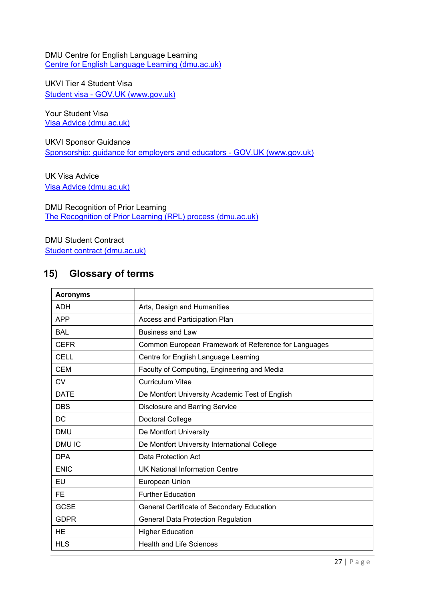DMU Centre for English Language Learning [Centre for English Language Learning \(dmu.ac.uk\)](https://www.dmu.ac.uk/international/en/english-language-learning/cell.aspx)

UKVI Tier 4 Student Visa Student visa - GOV.UK (www.gov.uk)

Your Student Visa [Visa Advice \(dmu.ac.uk\)](https://www.dmu.ac.uk/International/en/Making-a-student-visa-application/Visa-advice.aspx)

UKVI Sponsor Guidance [Sponsorship: guidance for employers and educators -](https://www.gov.uk/government/collections/sponsorship-information-for-employers-and-educators) GOV.UK (www.gov.uk)

UK Visa Advice [Visa Advice \(dmu.ac.uk\)](https://www.dmu.ac.uk/international/en/making-a-student-visa-application/visa-advice.aspx)

DMU Recognition of Prior Learning [The Recognition of Prior Learning \(RPL\) process \(dmu.ac.uk\)](https://www.dmu.ac.uk/about-dmu/quality-management-and-policy/academic-quality/academic-regulations-assessment-boards/the-rpl-process.aspx)

DMU Student Contract [Student contract \(dmu.ac.uk\)](https://www.dmu.ac.uk/study/student-contract/index.aspx)

### **15) Glossary of terms**

| <b>Acronyms</b> |                                                      |
|-----------------|------------------------------------------------------|
| <b>ADH</b>      | Arts, Design and Humanities                          |
| <b>APP</b>      | Access and Participation Plan                        |
| <b>BAL</b>      | <b>Business and Law</b>                              |
| <b>CEFR</b>     | Common European Framework of Reference for Languages |
| <b>CELL</b>     | Centre for English Language Learning                 |
| <b>CEM</b>      | Faculty of Computing, Engineering and Media          |
| <b>CV</b>       | <b>Curriculum Vitae</b>                              |
| <b>DATE</b>     | De Montfort University Academic Test of English      |
| <b>DBS</b>      | <b>Disclosure and Barring Service</b>                |
| DC.             | Doctoral College                                     |
| <b>DMU</b>      | De Montfort University                               |
| <b>DMUIC</b>    | De Montfort University International College         |
| <b>DPA</b>      | Data Protection Act                                  |
| <b>ENIC</b>     | <b>UK National Information Centre</b>                |
| EU              | European Union                                       |
| <b>FE</b>       | <b>Further Education</b>                             |
| <b>GCSE</b>     | General Certificate of Secondary Education           |
| <b>GDPR</b>     | <b>General Data Protection Regulation</b>            |
| HE              | <b>Higher Education</b>                              |
| <b>HLS</b>      | <b>Health and Life Sciences</b>                      |